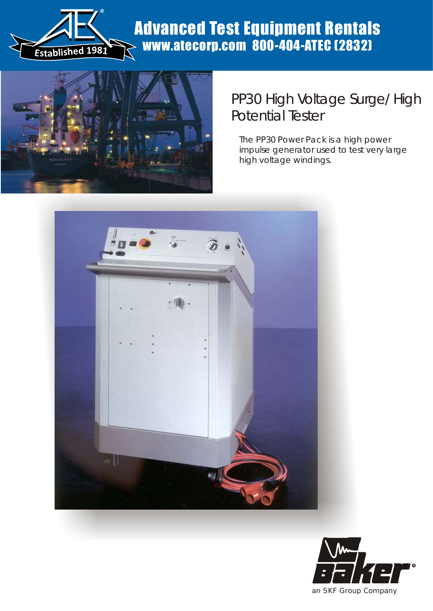

## Advanced Test Equipment Rentals www.atecorp.com 800-404-ATEC (2832)



## PP30 High Voltage Surge/ High Potential Tester

*The PP30 Power Pack is a high power impulse generator used to test very large high voltage windings.*